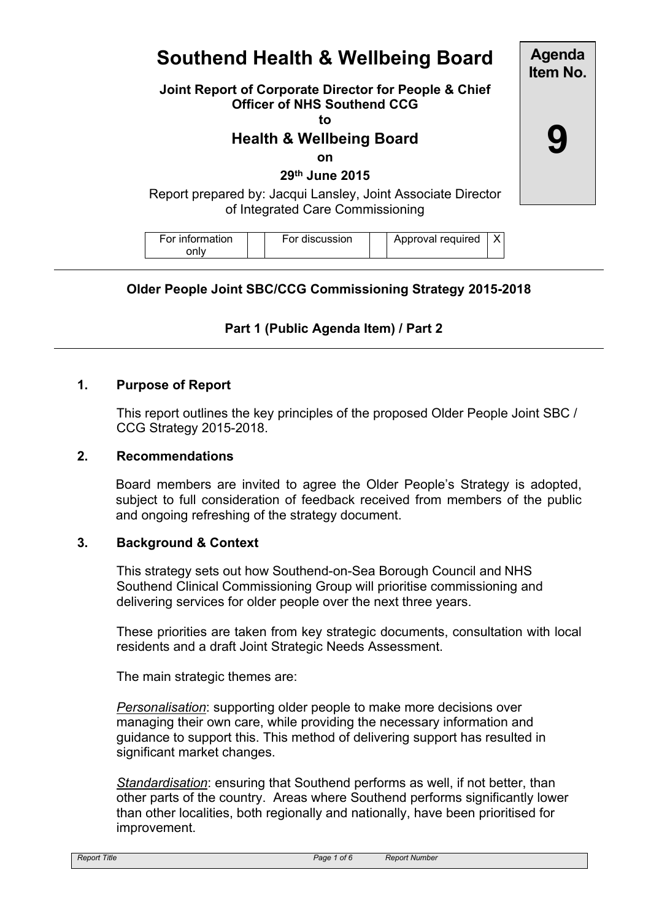# **Southend Health & Wellbeing Board**

**Agenda Item No.**

**9**

## **Joint Report of Corporate Director for People & Chief Officer of NHS Southend CCG**

**to**

# **Health & Wellbeing Board**

**on**

**29th June 2015**

Report prepared by: Jacqui Lansley, Joint Associate Director of Integrated Care Commissioning

| For information | For discussion | Approval required |  |
|-----------------|----------------|-------------------|--|
| onlv            |                |                   |  |

## **Older People Joint SBC/CCG Commissioning Strategy 2015-2018**

## **Part 1 (Public Agenda Item) / Part 2**

## **1. Purpose of Report**

This report outlines the key principles of the proposed Older People Joint SBC / CCG Strategy 2015-2018.

## **2. Recommendations**

Board members are invited to agree the Older People's Strategy is adopted, subject to full consideration of feedback received from members of the public and ongoing refreshing of the strategy document.

### **3. Background & Context**

This strategy sets out how Southend-on-Sea Borough Council and NHS Southend Clinical Commissioning Group will prioritise commissioning and delivering services for older people over the next three years.

These priorities are taken from key strategic documents, consultation with local residents and a draft Joint Strategic Needs Assessment.

The main strategic themes are:

*Personalisation*: supporting older people to make more decisions over managing their own care, while providing the necessary information and guidance to support this. This method of delivering support has resulted in significant market changes.

*Standardisation*: ensuring that Southend performs as well, if not better, than other parts of the country. Areas where Southend performs significantly lower than other localities, both regionally and nationally, have been prioritised for improvement.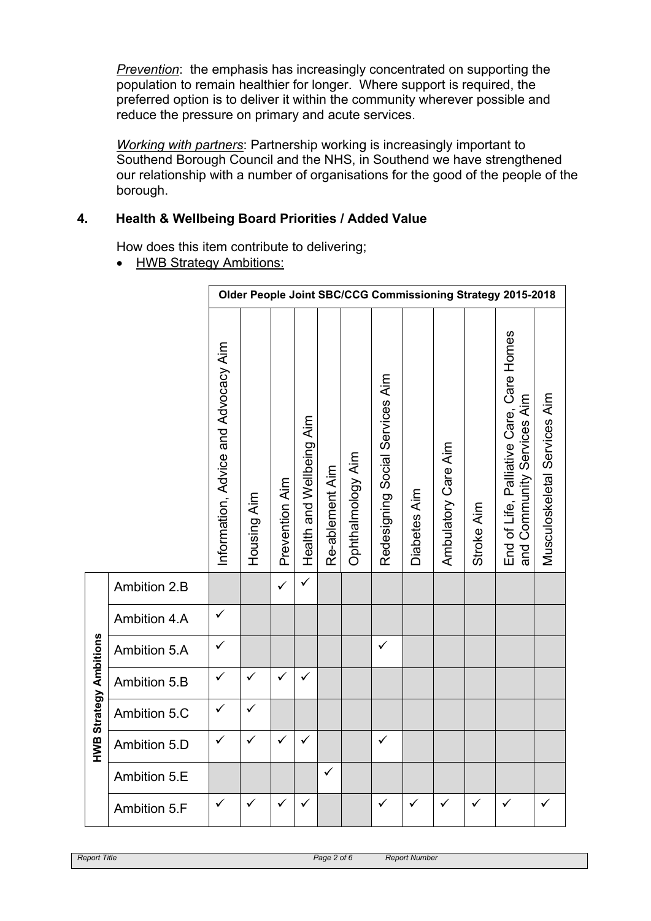*Prevention*: the emphasis has increasingly concentrated on supporting the population to remain healthier for longer. Where support is required, the preferred option is to deliver it within the community wherever possible and reduce the pressure on primary and acute services.

*Working with partners*: Partnership working is increasingly important to Southend Borough Council and the NHS, in Southend we have strengthened our relationship with a number of organisations for the good of the people of the borough.

## **4. Health & Wellbeing Board Priorities / Added Value**

How does this item contribute to delivering;

• HWB Strategy Ambitions:

|                               |              | Older People Joint SBC/CCG Commissioning Strategy 2015-2018 |              |                |                          |                 |                   |                                 |              |                     |            |                                                                           |                              |
|-------------------------------|--------------|-------------------------------------------------------------|--------------|----------------|--------------------------|-----------------|-------------------|---------------------------------|--------------|---------------------|------------|---------------------------------------------------------------------------|------------------------------|
|                               |              | Information, Advice and Advocacy Aim                        | Housing Aim  | Prevention Aim | Health and Wellbeing Aim | Re-ablement Aim | Ophthalmology Aim | Redesigning Social Services Aim | Diabetes Aim | Ambulatory Care Aim | Stroke Aim | End of Life, Palliative Care, Care Homes<br>Community Services Aim<br>and | Musculoskeletal Services Aim |
|                               | Ambition 2.B |                                                             |              | $\checkmark$   | $\checkmark$             |                 |                   |                                 |              |                     |            |                                                                           |                              |
|                               | Ambition 4.A | ✓                                                           |              |                |                          |                 |                   |                                 |              |                     |            |                                                                           |                              |
|                               | Ambition 5.A | $\checkmark$                                                |              |                |                          |                 |                   | $\checkmark$                    |              |                     |            |                                                                           |                              |
|                               | Ambition 5.B | $\checkmark$                                                | $\checkmark$ | $\checkmark$   | $\checkmark$             |                 |                   |                                 |              |                     |            |                                                                           |                              |
|                               | Ambition 5.C | ✓                                                           | ✓            |                |                          |                 |                   |                                 |              |                     |            |                                                                           |                              |
| <b>HWB Strategy Ambitions</b> | Ambition 5.D | $\checkmark$                                                | $\checkmark$ | ✓              | $\checkmark$             |                 |                   | $\checkmark$                    |              |                     |            |                                                                           |                              |
|                               | Ambition 5.E |                                                             |              |                |                          | $\checkmark$    |                   |                                 |              |                     |            |                                                                           |                              |
|                               | Ambition 5.F | ✓                                                           | ✓            | $\checkmark$   | ✓                        |                 |                   | ✓                               | ✓            | ✓                   | ✓          | ✓                                                                         | ✓                            |

**HWB Strategy Ambitions**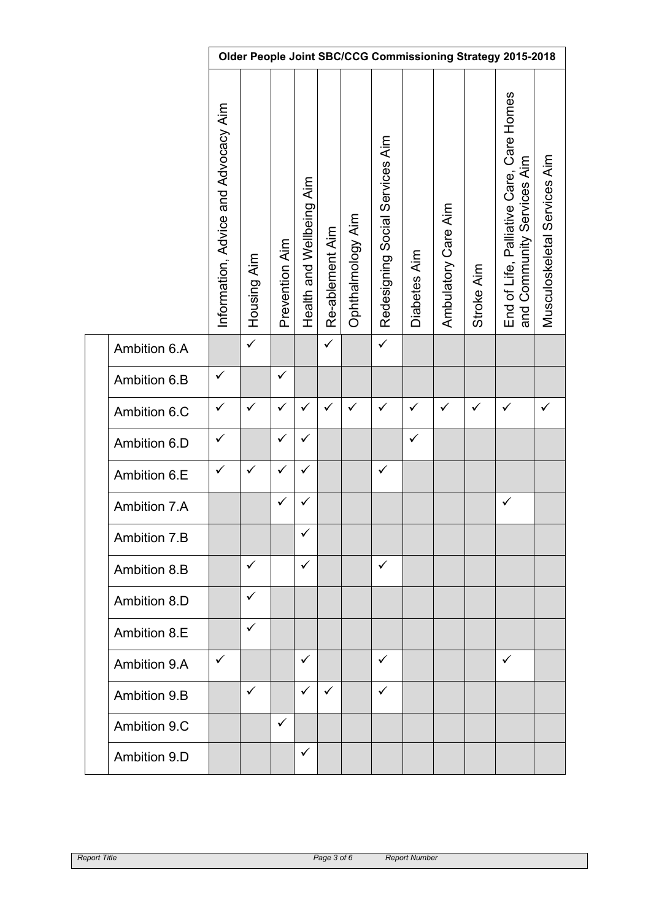|              | Older People Joint SBC/CCG Commissioning Strategy 2015-2018 |              |                |                          |                 |                   |                                 |              |                     |              |                                                                        |                              |
|--------------|-------------------------------------------------------------|--------------|----------------|--------------------------|-----------------|-------------------|---------------------------------|--------------|---------------------|--------------|------------------------------------------------------------------------|------------------------------|
|              | Information, Advice and Advocacy Aim                        | Housing Aim  | Prevention Aim | Health and Wellbeing Aim | Re-ablement Aim | Ophthalmology Aim | Redesigning Social Services Aim | Diabetes Aim | Ambulatory Care Aim | Stroke Aim   | End of Life, Palliative Care, Care Homes<br>and Community Services Aim | Musculoskeletal Services Aim |
| Ambition 6.A |                                                             | $\checkmark$ |                |                          | $\checkmark$    |                   | $\checkmark$                    |              |                     |              |                                                                        |                              |
| Ambition 6.B | $\checkmark$                                                |              | $\checkmark$   |                          |                 |                   |                                 |              |                     |              |                                                                        |                              |
| Ambition 6.C | $\checkmark$                                                | $\checkmark$ | $\checkmark$   | $\checkmark$             | $\checkmark$    | $\checkmark$      | $\checkmark$                    | $\checkmark$ | $\checkmark$        | $\checkmark$ | $\checkmark$                                                           | $\checkmark$                 |
| Ambition 6.D | $\checkmark$                                                |              | $\checkmark$   | $\checkmark$             |                 |                   |                                 | $\checkmark$ |                     |              |                                                                        |                              |
| Ambition 6.E | $\checkmark$                                                | $\checkmark$ | $\checkmark$   | $\checkmark$             |                 |                   | $\checkmark$                    |              |                     |              |                                                                        |                              |
| Ambition 7.A |                                                             |              | $\checkmark$   | $\checkmark$             |                 |                   |                                 |              |                     |              | $\checkmark$                                                           |                              |
| Ambition 7.B |                                                             |              |                | $\checkmark$             |                 |                   |                                 |              |                     |              |                                                                        |                              |
| Ambition 8.B |                                                             | $\checkmark$ |                | $\checkmark$             |                 |                   | $\checkmark$                    |              |                     |              |                                                                        |                              |
| Ambition 8.D |                                                             | $\checkmark$ |                |                          |                 |                   |                                 |              |                     |              |                                                                        |                              |
| Ambition 8.E |                                                             | $\checkmark$ |                |                          |                 |                   |                                 |              |                     |              |                                                                        |                              |
| Ambition 9.A | ✓                                                           |              |                | ✓                        |                 |                   | ✓                               |              |                     |              | $\checkmark$                                                           |                              |
| Ambition 9.B |                                                             | $\checkmark$ |                | $\checkmark$             | $\checkmark$    |                   | ✓                               |              |                     |              |                                                                        |                              |
| Ambition 9.C |                                                             |              | $\checkmark$   |                          |                 |                   |                                 |              |                     |              |                                                                        |                              |
| Ambition 9.D |                                                             |              |                | $\checkmark$             |                 |                   |                                 |              |                     |              |                                                                        |                              |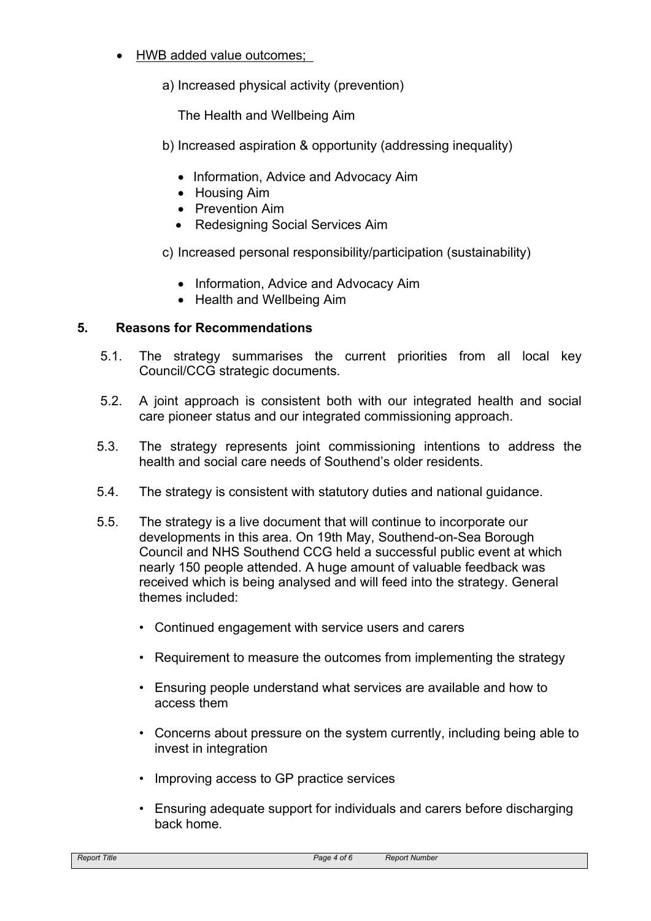- HWB added value outcomes;
	- a) Increased physical activity (prevention)

The Health and Wellbeing Aim

- b) Increased aspiration & opportunity (addressing inequality)
	- Information, Advice and Advocacy Aim
	- Housing Aim
	- Prevention Aim
	- Redesigning Social Services Aim
- c) Increased personal responsibility/participation (sustainability)
	- Information, Advice and Advocacy Aim
	- Health and Wellbeing Aim

## **5. Reasons for Recommendations**

- 5.1. The strategy summarises the current priorities from all local key Council/CCG strategic documents.
- 5.2. A joint approach is consistent both with our integrated health and social care pioneer status and our integrated commissioning approach.
- 5.3. The strategy represents joint commissioning intentions to address the health and social care needs of Southend's older residents.
- 5.4. The strategy is consistent with statutory duties and national guidance.
- 5.5. The strategy is a live document that will continue to incorporate our developments in this area. On 19th May, Southend-on-Sea Borough Council and NHS Southend CCG held a successful public event at which nearly 150 people attended. A huge amount of valuable feedback was received which is being analysed and will feed into the strategy. General themes included:
	- Continued engagement with service users and carers
	- Requirement to measure the outcomes from implementing the strategy
	- Ensuring people understand what services are available and how to access them
	- Concerns about pressure on the system currently, including being able to invest in integration
	- Improving access to GP practice services
	- Ensuring adequate support for individuals and carers before discharging back home.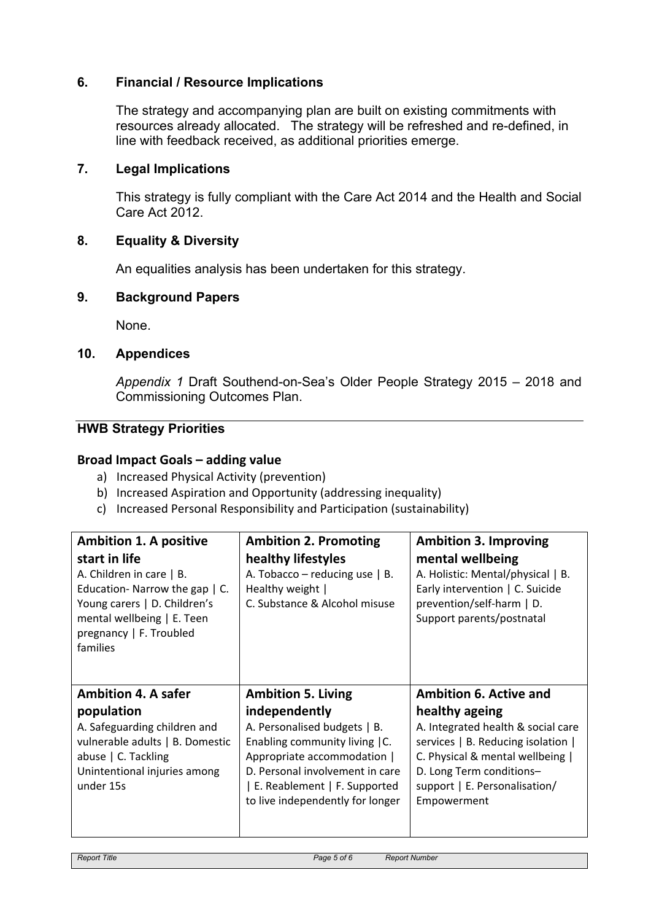## **6. Financial / Resource Implications**

The strategy and accompanying plan are built on existing commitments with resources already allocated. The strategy will be refreshed and re-defined, in line with feedback received, as additional priorities emerge.

### **7. Legal Implications**

This strategy is fully compliant with the Care Act 2014 and the Health and Social Care Act 2012.

### **8. Equality & Diversity**

An equalities analysis has been undertaken for this strategy.

### **9. Background Papers**

None.

#### **10. Appendices**

*Appendix 1* Draft Southend-on-Sea's Older People Strategy 2015 – 2018 and Commissioning Outcomes Plan.

## **HWB Strategy Priorities**

#### **Broad Impact Goals – adding value**

- a) Increased Physical Activity (prevention)
- b) Increased Aspiration and Opportunity (addressing inequality)
- c) Increased Personal Responsibility and Participation (sustainability)

| <b>Ambition 1. A positive</b><br>start in life<br>A. Children in care   B.<br>Education-Narrow the gap   C.<br>Young carers   D. Children's<br>mental wellbeing   E. Teen<br>pregnancy   F. Troubled<br>families | <b>Ambition 2. Promoting</b><br>healthy lifestyles<br>A. Tobacco – reducing use $  B$ .<br>Healthy weight  <br>C. Substance & Alcohol misuse                                                                                                       | <b>Ambition 3. Improving</b><br>mental wellbeing<br>A. Holistic: Mental/physical   B.<br>Early intervention   C. Suicide<br>prevention/self-harm   D.<br>Support parents/postnatal                                                          |
|------------------------------------------------------------------------------------------------------------------------------------------------------------------------------------------------------------------|----------------------------------------------------------------------------------------------------------------------------------------------------------------------------------------------------------------------------------------------------|---------------------------------------------------------------------------------------------------------------------------------------------------------------------------------------------------------------------------------------------|
| <b>Ambition 4. A safer</b><br>population<br>A. Safeguarding children and<br>vulnerable adults   B. Domestic<br>abuse   C. Tackling<br>Unintentional injuries among<br>under 15s                                  | <b>Ambition 5. Living</b><br>independently<br>A. Personalised budgets   B.<br>Enabling community living   C.<br>Appropriate accommodation  <br>D. Personal involvement in care<br>E. Reablement   F. Supported<br>to live independently for longer | <b>Ambition 6. Active and</b><br>healthy ageing<br>A. Integrated health & social care<br>services   B. Reducing isolation  <br>C. Physical & mental wellbeing  <br>D. Long Term conditions-<br>support   E. Personalisation/<br>Empowerment |